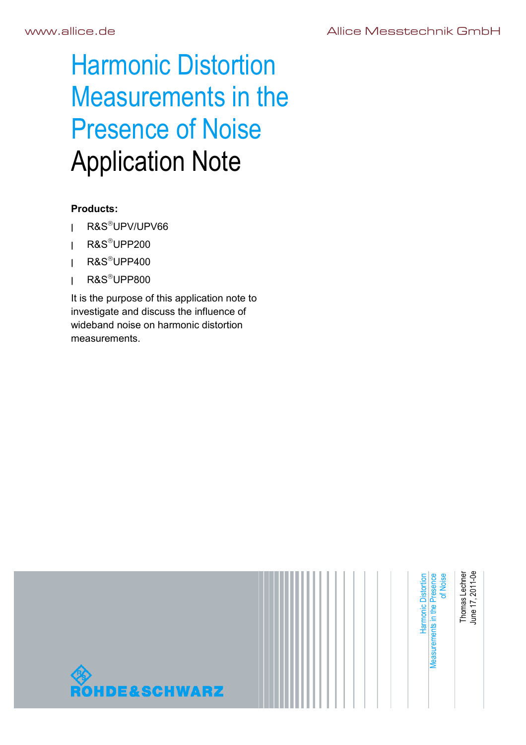# Harmonic Distortion Measurements in the Presence of Noise Application Note

## **Products:**

- **<sup>|</sup>** R&SUPV/UPV66
- **<sup>|</sup>** R&SUPP200
- **<sup>|</sup>** R&SUPP400
- **<sup>|</sup>** R&SUPP800

It is the purpose of this application note to investigate and discuss the influence of wideband noise on harmonic distortion measurements.

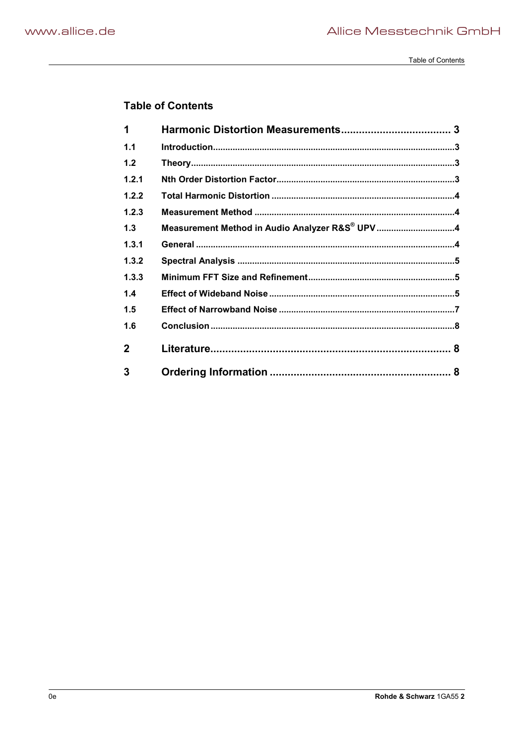Table of Contents

## **Table of Contents**

| 1            |                                                |  |
|--------------|------------------------------------------------|--|
| 1.1          |                                                |  |
| 1.2          |                                                |  |
| 1.2.1        |                                                |  |
| 1.2.2        |                                                |  |
| 1.2.3        |                                                |  |
| 1.3          | Measurement Method in Audio Analyzer R&S® UPV4 |  |
| 1.3.1        |                                                |  |
| 1.3.2        |                                                |  |
| 1.3.3        |                                                |  |
| 1.4          |                                                |  |
| 1.5          |                                                |  |
| 1.6          |                                                |  |
| $\mathbf{2}$ |                                                |  |
| 3            |                                                |  |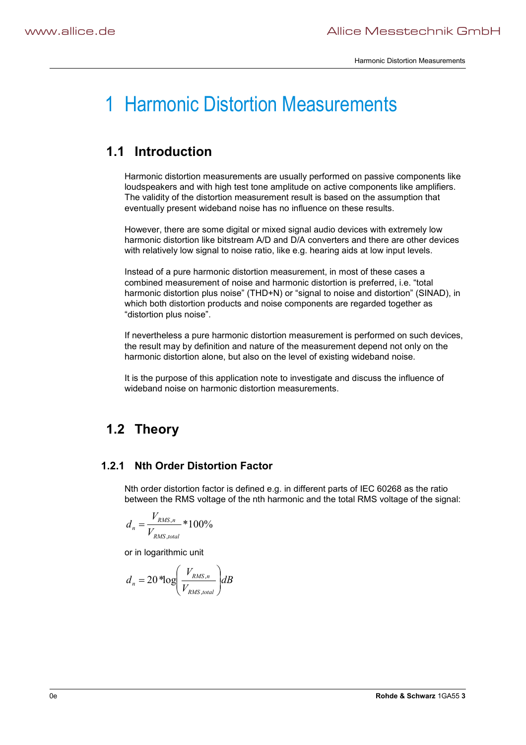## 1 Harmonic Distortion Measurements

## **1.1 Introduction**

Harmonic distortion measurements are usually performed on passive components like loudspeakers and with high test tone amplitude on active components like amplifiers. The validity of the distortion measurement result is based on the assumption that eventually present wideband noise has no influence on these results.

However, there are some digital or mixed signal audio devices with extremely low harmonic distortion like bitstream A/D and D/A converters and there are other devices with relatively low signal to noise ratio, like e.g. hearing aids at low input levels.

Instead of a pure harmonic distortion measurement, in most of these cases a combined measurement of noise and harmonic distortion is preferred, i.e. "total harmonic distortion plus noise" (THD+N) or "signal to noise and distortion" (SINAD), in which both distortion products and noise components are regarded together as "distortion plus noise".

If nevertheless a pure harmonic distortion measurement is performed on such devices, the result may by definition and nature of the measurement depend not only on the harmonic distortion alone, but also on the level of existing wideband noise.

It is the purpose of this application note to investigate and discuss the influence of wideband noise on harmonic distortion measurements.

## **1.2 Theory**

## **1.2.1 Nth Order Distortion Factor**

Nth order distortion factor is defined e.g. in different parts of IEC 60268 as the ratio between the RMS voltage of the nth harmonic and the total RMS voltage of the signal:

$$
d_n = \frac{V_{RMS,n}}{V_{RMS,total}} * 100\%
$$

or in logarithmic unit

$$
d_n = 20 \text{ *log}\left(\frac{V_{RMS,n}}{V_{RMS,total}}\right) dB
$$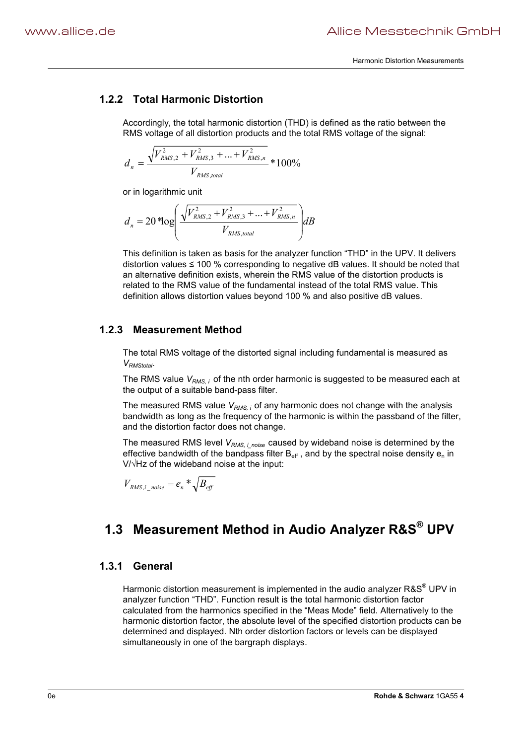### **1.2.2 Total Harmonic Distortion**

Accordingly, the total harmonic distortion (THD) is defined as the ratio between the RMS voltage of all distortion products and the total RMS voltage of the signal:

$$
d_n = \frac{\sqrt{V_{RMS,2}^2 + V_{RMS,3}^2 + \dots + V_{RMS,n}^2}}{V_{RMS,total}} * 100\%
$$

or in logarithmic unit

$$
d_n = 20 * \log \left( \frac{\sqrt{V_{RMS,2}^2 + V_{RMS,3}^2 + \dots + V_{RMS,n}^2}}{V_{RMS,total}} \right) dB
$$

This definition is taken as basis for the analyzer function "THD" in the UPV. It delivers distortion values  $\leq 100$  % corresponding to negative dB values. It should be noted that an alternative definition exists, wherein the RMS value of the distortion products is related to the RMS value of the fundamental instead of the total RMS value. This definition allows distortion values beyond 100 % and also positive dB values.

#### **1.2.3 Measurement Method**

The total RMS voltage of the distorted signal including fundamental is measured as *VRMStotal*.

The RMS value *VRMS, i* of the nth order harmonic is suggested to be measured each at the output of a suitable band-pass filter.

The measured RMS value *V<sub>RMS, i</sub>* of any harmonic does not change with the analysis bandwidth as long as the frequency of the harmonic is within the passband of the filter, and the distortion factor does not change.

The measured RMS level *V<sub>RMS, i noise* caused by wideband noise is determined by the</sub> effective bandwidth of the bandpass filter  $B_{\text{eff}}$ , and by the spectral noise density  $e_n$  in  $V/\sqrt{Hz}$  of the wideband noise at the input:

$$
V_{\rm RMS,i\_noise} = e_n \sqrt[k]{B_{\rm eff}}
$$

## **1.3 Measurement Method in Audio Analyzer R&S® UPV**

## **1.3.1 General**

Harmonic distortion measurement is implemented in the audio analyzer R&S<sup>®</sup> UPV in analyzer function "THD". Function result is the total harmonic distortion factor calculated from the harmonics specified in the "Meas Mode" field. Alternatively to the harmonic distortion factor, the absolute level of the specified distortion products can be determined and displayed. Nth order distortion factors or levels can be displayed simultaneously in one of the bargraph displays.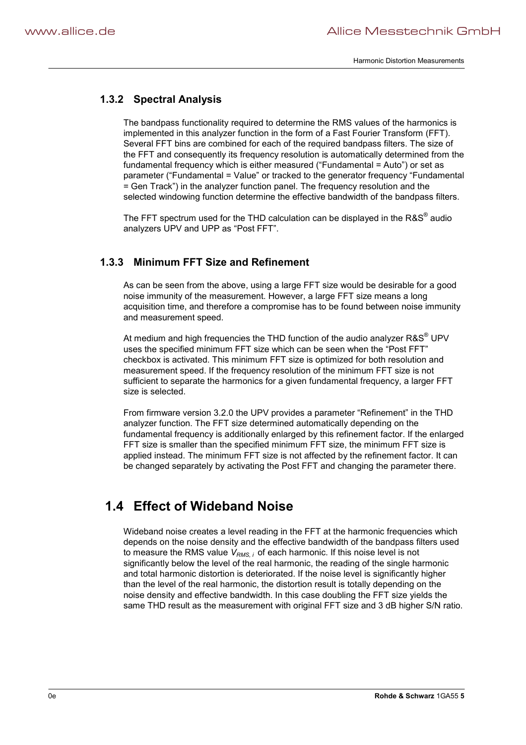## **1.3.2 Spectral Analysis**

The bandpass functionality required to determine the RMS values of the harmonics is implemented in this analyzer function in the form of a Fast Fourier Transform (FFT). Several FFT bins are combined for each of the required bandpass filters. The size of the FFT and consequently its frequency resolution is automatically determined from the fundamental frequency which is either measured ("Fundamental = Auto") or set as parameter ("Fundamental = Value" or tracked to the generator frequency "Fundamental = Gen Track") in the analyzer function panel. The frequency resolution and the selected windowing function determine the effective bandwidth of the bandpass filters.

The FFT spectrum used for the THD calculation can be displayed in the  $R\&S^{\circledast}$  audio analyzers UPV and UPP as "Post FFT".

#### **1.3.3 Minimum FFT Size and Refinement**

As can be seen from the above, using a large FFT size would be desirable for a good noise immunity of the measurement. However, a large FFT size means a long acquisition time, and therefore a compromise has to be found between noise immunity and measurement speed.

At medium and high frequencies the THD function of the audio analyzer R&S<sup>®</sup> UPV uses the specified minimum FFT size which can be seen when the "Post FFT" checkbox is activated. This minimum FFT size is optimized for both resolution and measurement speed. If the frequency resolution of the minimum FFT size is not sufficient to separate the harmonics for a given fundamental frequency, a larger FFT size is selected.

From firmware version 3.2.0 the UPV provides a parameter "Refinement" in the THD analyzer function. The FFT size determined automatically depending on the fundamental frequency is additionally enlarged by this refinement factor. If the enlarged FFT size is smaller than the specified minimum FFT size, the minimum FFT size is applied instead. The minimum FFT size is not affected by the refinement factor. It can be changed separately by activating the Post FFT and changing the parameter there.

## **1.4 Effect of Wideband Noise**

Wideband noise creates a level reading in the FFT at the harmonic frequencies which depends on the noise density and the effective bandwidth of the bandpass filters used to measure the RMS value  $V_{RMS, i}$  of each harmonic. If this noise level is not significantly below the level of the real harmonic, the reading of the single harmonic and total harmonic distortion is deteriorated. If the noise level is significantly higher than the level of the real harmonic, the distortion result is totally depending on the noise density and effective bandwidth. In this case doubling the FFT size yields the same THD result as the measurement with original FFT size and 3 dB higher S/N ratio.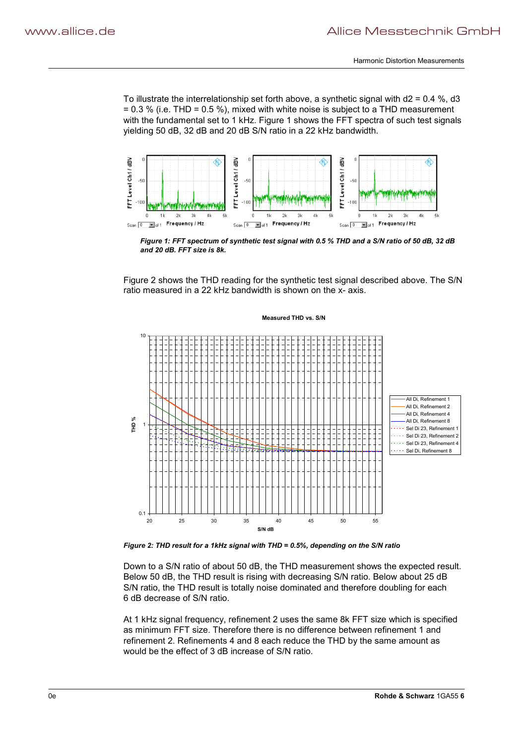To illustrate the interrelationship set forth above, a synthetic signal with d2 = 0.4 %, d3  $= 0.3$  % (i.e. THD = 0.5 %), mixed with white noise is subject to a THD measurement with the fundamental set to 1 kHz. Figure 1 shows the FFT spectra of such test signals yielding 50 dB, 32 dB and 20 dB S/N ratio in a 22 kHz bandwidth.



*Figure 1: FFT spectrum of synthetic test signal with 0.5 % THD and a S/N ratio of 50 dB, 32 dB and 20 dB. FFT size is 8k.* 

Figure 2 shows the THD reading for the synthetic test signal described above. The S/N ratio measured in a 22 kHz bandwidth is shown on the x- axis.



*Figure 2: THD result for a 1kHz signal with THD = 0.5%, depending on the S/N ratio* 

Down to a S/N ratio of about 50 dB, the THD measurement shows the expected result. Below 50 dB, the THD result is rising with decreasing S/N ratio. Below about 25 dB S/N ratio, the THD result is totally noise dominated and therefore doubling for each 6 dB decrease of S/N ratio.

At 1 kHz signal frequency, refinement 2 uses the same 8k FFT size which is specified as minimum FFT size. Therefore there is no difference between refinement 1 and refinement 2. Refinements 4 and 8 each reduce the THD by the same amount as would be the effect of 3 dB increase of S/N ratio.

#### 0e **Rohde & Schwarz** 1GA55 **6**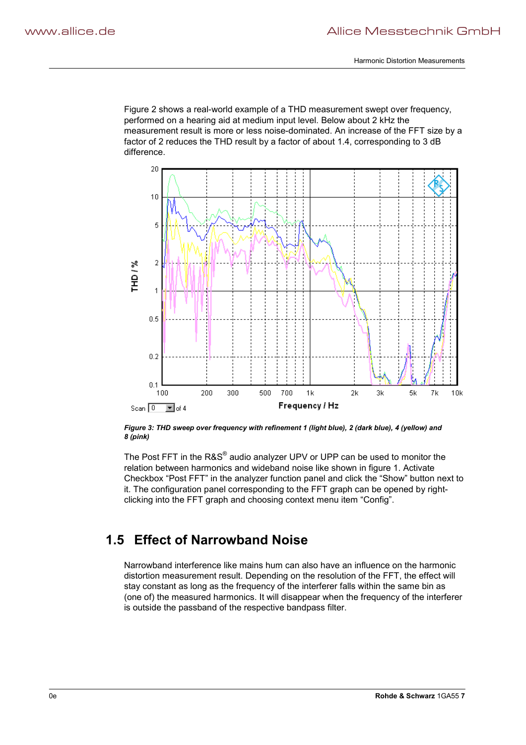Figure 2 shows a real-world example of a THD measurement swept over frequency, performed on a hearing aid at medium input level. Below about 2 kHz the measurement result is more or less noise-dominated. An increase of the FFT size by a factor of 2 reduces the THD result by a factor of about 1.4, corresponding to 3 dB difference.



*Figure 3: THD sweep over frequency with refinement 1 (light blue), 2 (dark blue), 4 (yellow) and 8 (pink)* 

The Post FFT in the R&S<sup>®</sup> audio analyzer UPV or UPP can be used to monitor the relation between harmonics and wideband noise like shown in figure 1. Activate Checkbox "Post FFT" in the analyzer function panel and click the "Show" button next to it. The configuration panel corresponding to the FFT graph can be opened by rightclicking into the FFT graph and choosing context menu item "Config".

## **1.5 Effect of Narrowband Noise**

Narrowband interference like mains hum can also have an influence on the harmonic distortion measurement result. Depending on the resolution of the FFT, the effect will stay constant as long as the frequency of the interferer falls within the same bin as (one of) the measured harmonics. It will disappear when the frequency of the interferer is outside the passband of the respective bandpass filter.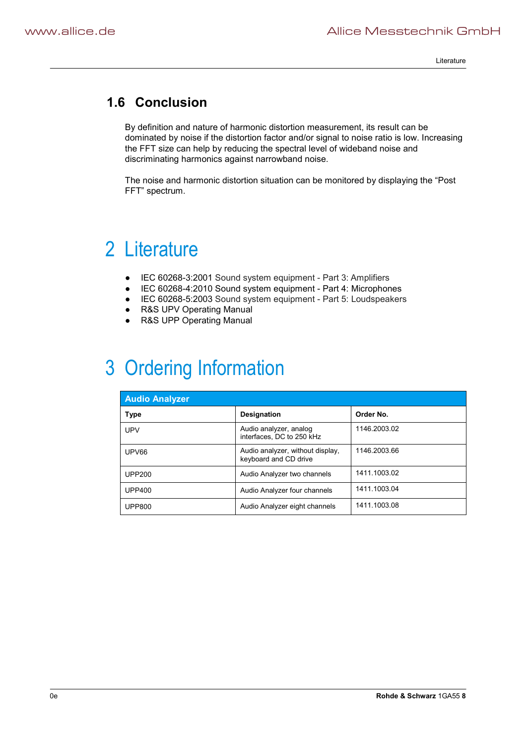Literature

## **1.6 Conclusion**

By definition and nature of harmonic distortion measurement, its result can be dominated by noise if the distortion factor and/or signal to noise ratio is low. Increasing the FFT size can help by reducing the spectral level of wideband noise and discriminating harmonics against narrowband noise.

The noise and harmonic distortion situation can be monitored by displaying the "Post FFT" spectrum.

## 2 Literature

- G IEC 60268-3:2001 Sound system equipment Part 3: Amplifiers
- G IEC 60268-4:2010 Sound system equipment Part 4: Microphones
- G IEC 60268-5:2003 Sound system equipment Part 5: Loudspeakers
- R&S UPV Operating Manual
- R&S UPP Operating Manual

## 3 Ordering Information

| <b>Audio Analyzer</b> |                                                           |              |  |  |
|-----------------------|-----------------------------------------------------------|--------------|--|--|
| <b>Type</b>           | <b>Designation</b>                                        | Order No.    |  |  |
| <b>UPV</b>            | Audio analyzer, analog<br>interfaces, DC to 250 kHz       | 1146.2003.02 |  |  |
| UPV66                 | Audio analyzer, without display,<br>keyboard and CD drive | 1146,2003.66 |  |  |
| <b>UPP200</b>         | Audio Analyzer two channels                               | 1411.1003.02 |  |  |
| <b>UPP400</b>         | Audio Analyzer four channels                              | 1411.1003.04 |  |  |
| <b>UPP800</b>         | Audio Analyzer eight channels                             | 1411.1003.08 |  |  |